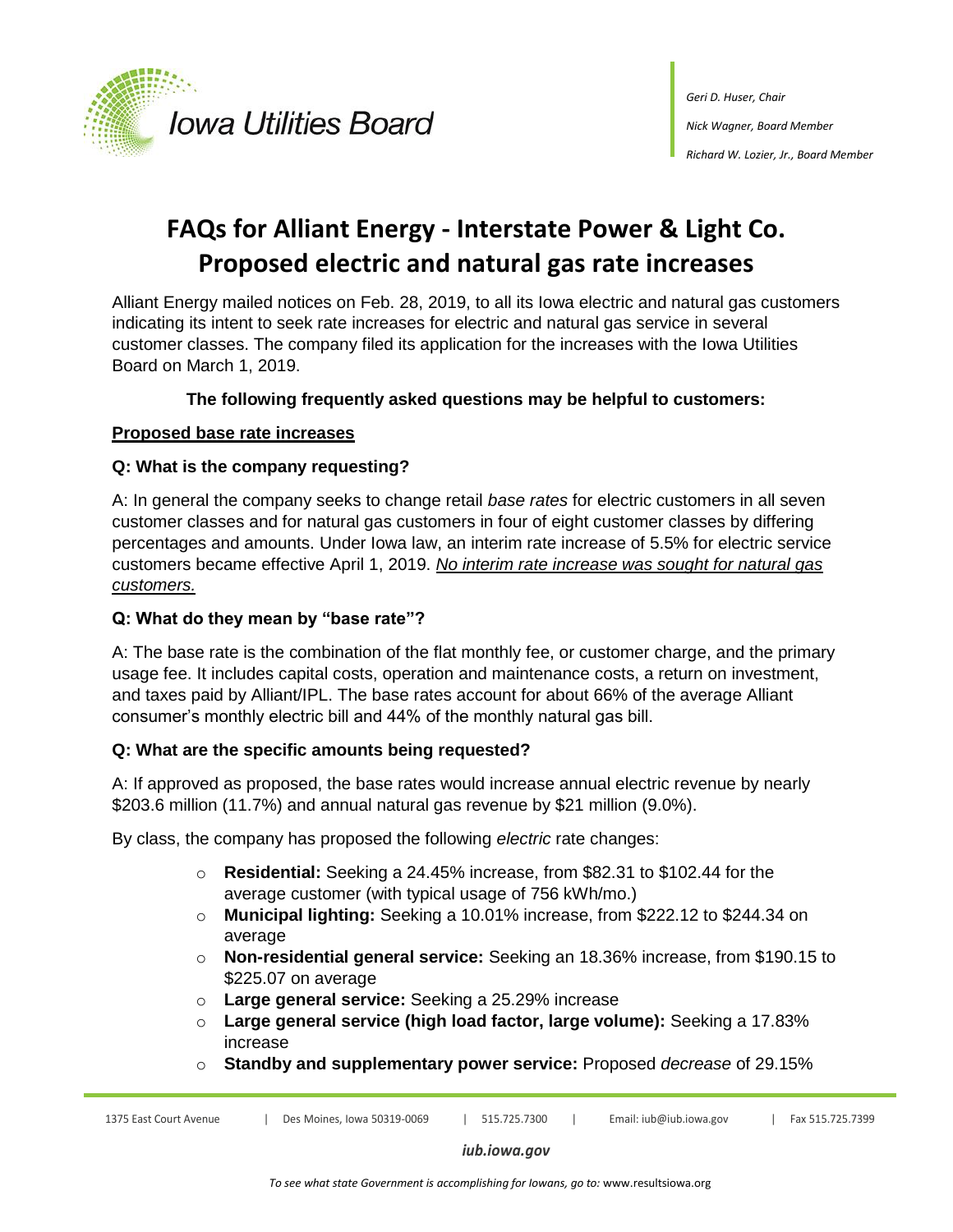

# **FAQs for Alliant Energy - Interstate Power & Light Co. Proposed electric and natural gas rate increases**

Alliant Energy mailed notices on Feb. 28, 2019, to all its Iowa electric and natural gas customers indicating its intent to seek rate increases for electric and natural gas service in several customer classes. The company filed its application for the increases with the Iowa Utilities Board on March 1, 2019.

# **The following frequently asked questions may be helpful to customers:**

# **Proposed base rate increases**

# **Q: What is the company requesting?**

A: In general the company seeks to change retail *base rates* for electric customers in all seven customer classes and for natural gas customers in four of eight customer classes by differing percentages and amounts. Under Iowa law, an interim rate increase of 5.5% for electric service customers became effective April 1, 2019. *No interim rate increase was sought for natural gas customers.*

# **Q: What do they mean by "base rate"?**

A: The base rate is the combination of the flat monthly fee, or customer charge, and the primary usage fee. It includes capital costs, operation and maintenance costs, a return on investment, and taxes paid by Alliant/IPL. The base rates account for about 66% of the average Alliant consumer's monthly electric bill and 44% of the monthly natural gas bill.

# **Q: What are the specific amounts being requested?**

A: If approved as proposed, the base rates would increase annual electric revenue by nearly \$203.6 million (11.7%) and annual natural gas revenue by \$21 million (9.0%).

By class, the company has proposed the following *electric* rate changes:

- o **Residential:** Seeking a 24.45% increase, from \$82.31 to \$102.44 for the average customer (with typical usage of 756 kWh/mo.)
- o **Municipal lighting:** Seeking a 10.01% increase, from \$222.12 to \$244.34 on average
- o **Non-residential general service:** Seeking an 18.36% increase, from \$190.15 to \$225.07 on average
- o **Large general service:** Seeking a 25.29% increase
- o **Large general service (high load factor, large volume):** Seeking a 17.83% increase
- o **Standby and supplementary power service:** Proposed *decrease* of 29.15%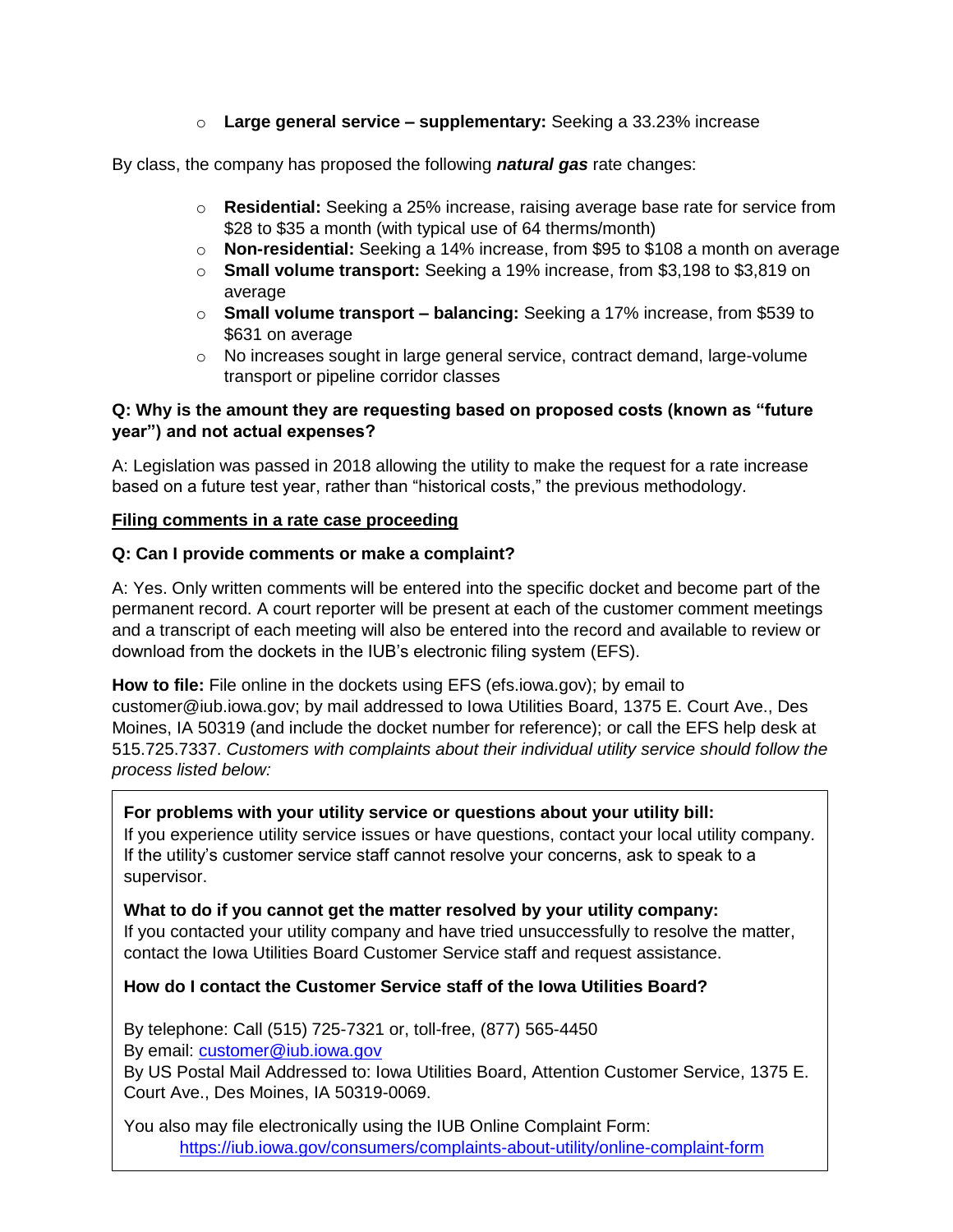o **Large general service – supplementary:** Seeking a 33.23% increase

By class, the company has proposed the following *natural gas* rate changes:

- o **Residential:** Seeking a 25% increase, raising average base rate for service from \$28 to \$35 a month (with typical use of 64 therms/month)
- o **Non-residential:** Seeking a 14% increase, from \$95 to \$108 a month on average
- o **Small volume transport:** Seeking a 19% increase, from \$3,198 to \$3,819 on average
- o **Small volume transport – balancing:** Seeking a 17% increase, from \$539 to \$631 on average
- $\circ$  No increases sought in large general service, contract demand, large-volume transport or pipeline corridor classes

## **Q: Why is the amount they are requesting based on proposed costs (known as "future year") and not actual expenses?**

A: Legislation was passed in 2018 allowing the utility to make the request for a rate increase based on a future test year, rather than "historical costs," the previous methodology.

## **Filing comments in a rate case proceeding**

## **Q: Can I provide comments or make a complaint?**

A: Yes. Only written comments will be entered into the specific docket and become part of the permanent record. A court reporter will be present at each of the customer comment meetings and a transcript of each meeting will also be entered into the record and available to review or download from the dockets in the IUB's electronic filing system (EFS).

**How to file:** File online in the dockets using EFS (efs.iowa.gov); by email to customer@iub.iowa.gov; by mail addressed to Iowa Utilities Board, 1375 E. Court Ave., Des Moines, IA 50319 (and include the docket number for reference); or call the EFS help desk at 515.725.7337. *Customers with complaints about their individual utility service should follow the process listed below:*

## **For problems with your utility service or questions about your utility bill:**

If you experience utility service issues or have questions, contact your local utility company. If the utility's customer service staff cannot resolve your concerns, ask to speak to a supervisor.

## **What to do if you cannot get the matter resolved by your utility company:**

If you contacted your utility company and have tried unsuccessfully to resolve the matter, contact the Iowa Utilities Board Customer Service staff and request assistance.

## **How do I contact the Customer Service staff of the Iowa Utilities Board?**

By telephone: Call (515) 725-7321 or, toll-free, (877) 565-4450 By email: [customer@iub.iowa.gov](mailto:customer@iub.iowa.gov) By US Postal Mail Addressed to: Iowa Utilities Board, Attention Customer Service, 1375 E. Court Ave., Des Moines, IA 50319-0069.

You also may file electronically using the IUB Online Complaint Form: <https://iub.iowa.gov/consumers/complaints-about-utility/online-complaint-form>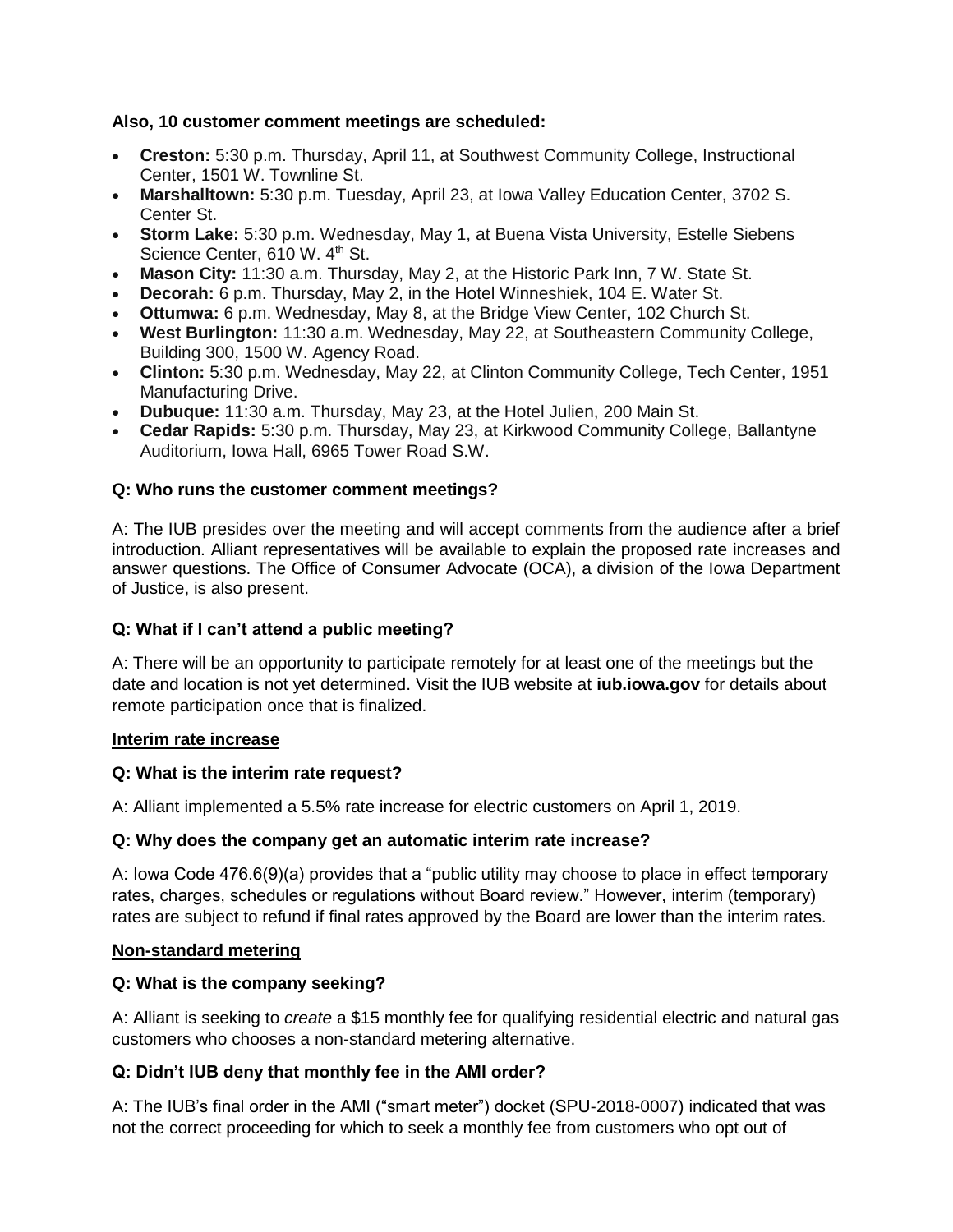## **Also, 10 customer comment meetings are scheduled:**

- **Creston:** 5:30 p.m. Thursday, April 11, at Southwest Community College, Instructional Center, 1501 W. Townline St.
- **Marshalltown:** 5:30 p.m. Tuesday, April 23, at Iowa Valley Education Center, 3702 S. Center St.
- **Storm Lake:** 5:30 p.m. Wednesday, May 1, at Buena Vista University, Estelle Siebens Science Center, 610 W. 4<sup>th</sup> St.
- **Mason City:** 11:30 a.m. Thursday, May 2, at the Historic Park Inn, 7 W. State St.
- **Decorah:** 6 p.m. Thursday, May 2, in the Hotel Winneshiek, 104 E. Water St.
- **Ottumwa:** 6 p.m. Wednesday, May 8, at the Bridge View Center, 102 Church St.
- **West Burlington:** 11:30 a.m. Wednesday, May 22, at Southeastern Community College, Building 300, 1500 W. Agency Road.
- **Clinton:** 5:30 p.m. Wednesday, May 22, at Clinton Community College, Tech Center, 1951 Manufacturing Drive.
- **Dubuque:** 11:30 a.m. Thursday, May 23, at the Hotel Julien, 200 Main St.
- **Cedar Rapids:** 5:30 p.m. Thursday, May 23, at Kirkwood Community College, Ballantyne Auditorium, Iowa Hall, 6965 Tower Road S.W.

## **Q: Who runs the customer comment meetings?**

A: The IUB presides over the meeting and will accept comments from the audience after a brief introduction. Alliant representatives will be available to explain the proposed rate increases and answer questions. The Office of Consumer Advocate (OCA), a division of the Iowa Department of Justice, is also present.

## **Q: What if I can't attend a public meeting?**

A: There will be an opportunity to participate remotely for at least one of the meetings but the date and location is not yet determined. Visit the IUB website at **iub.iowa.gov** for details about remote participation once that is finalized.

## **Interim rate increase**

## **Q: What is the interim rate request?**

A: Alliant implemented a 5.5% rate increase for electric customers on April 1, 2019.

## **Q: Why does the company get an automatic interim rate increase?**

A: Iowa Code 476.6(9)(a) provides that a "public utility may choose to place in effect temporary rates, charges, schedules or regulations without Board review." However, interim (temporary) rates are subject to refund if final rates approved by the Board are lower than the interim rates.

## **Non-standard metering**

## **Q: What is the company seeking?**

A: Alliant is seeking to *create* a \$15 monthly fee for qualifying residential electric and natural gas customers who chooses a non-standard metering alternative.

## **Q: Didn't IUB deny that monthly fee in the AMI order?**

A: The IUB's final order in the AMI ("smart meter") docket (SPU-2018-0007) indicated that was not the correct proceeding for which to seek a monthly fee from customers who opt out of